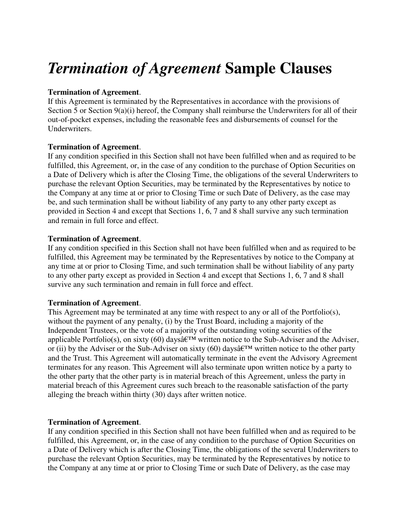# *Termination of Agreement* **Sample Clauses**

## **Termination of Agreement**.

If this Agreement is terminated by the Representatives in accordance with the provisions of Section 5 or Section 9(a)(i) hereof, the Company shall reimburse the Underwriters for all of their out-of-pocket expenses, including the reasonable fees and disbursements of counsel for the Underwriters.

## **Termination of Agreement**.

If any condition specified in this Section shall not have been fulfilled when and as required to be fulfilled, this Agreement, or, in the case of any condition to the purchase of Option Securities on a Date of Delivery which is after the Closing Time, the obligations of the several Underwriters to purchase the relevant Option Securities, may be terminated by the Representatives by notice to the Company at any time at or prior to Closing Time or such Date of Delivery, as the case may be, and such termination shall be without liability of any party to any other party except as provided in Section 4 and except that Sections 1, 6, 7 and 8 shall survive any such termination and remain in full force and effect.

## **Termination of Agreement**.

If any condition specified in this Section shall not have been fulfilled when and as required to be fulfilled, this Agreement may be terminated by the Representatives by notice to the Company at any time at or prior to Closing Time, and such termination shall be without liability of any party to any other party except as provided in Section 4 and except that Sections 1, 6, 7 and 8 shall survive any such termination and remain in full force and effect.

#### **Termination of Agreement**.

This Agreement may be terminated at any time with respect to any or all of the Portfolio(s), without the payment of any penalty, (i) by the Trust Board, including a majority of the Independent Trustees, or the vote of a majority of the outstanding voting securities of the applicable Portfolio(s), on sixty (60) days $\hat{\mathfrak{a}}$  extract motice to the Sub-Adviser and the Adviser, or (ii) by the Adviser or the Sub-Adviser on sixty (60) days $\hat{\mathfrak{a}} \in \mathbb{R}^M$  written notice to the other party and the Trust. This Agreement will automatically terminate in the event the Advisory Agreement terminates for any reason. This Agreement will also terminate upon written notice by a party to the other party that the other party is in material breach of this Agreement, unless the party in material breach of this Agreement cures such breach to the reasonable satisfaction of the party alleging the breach within thirty (30) days after written notice.

#### **Termination of Agreement**.

If any condition specified in this Section shall not have been fulfilled when and as required to be fulfilled, this Agreement, or, in the case of any condition to the purchase of Option Securities on a Date of Delivery which is after the Closing Time, the obligations of the several Underwriters to purchase the relevant Option Securities, may be terminated by the Representatives by notice to the Company at any time at or prior to Closing Time or such Date of Delivery, as the case may